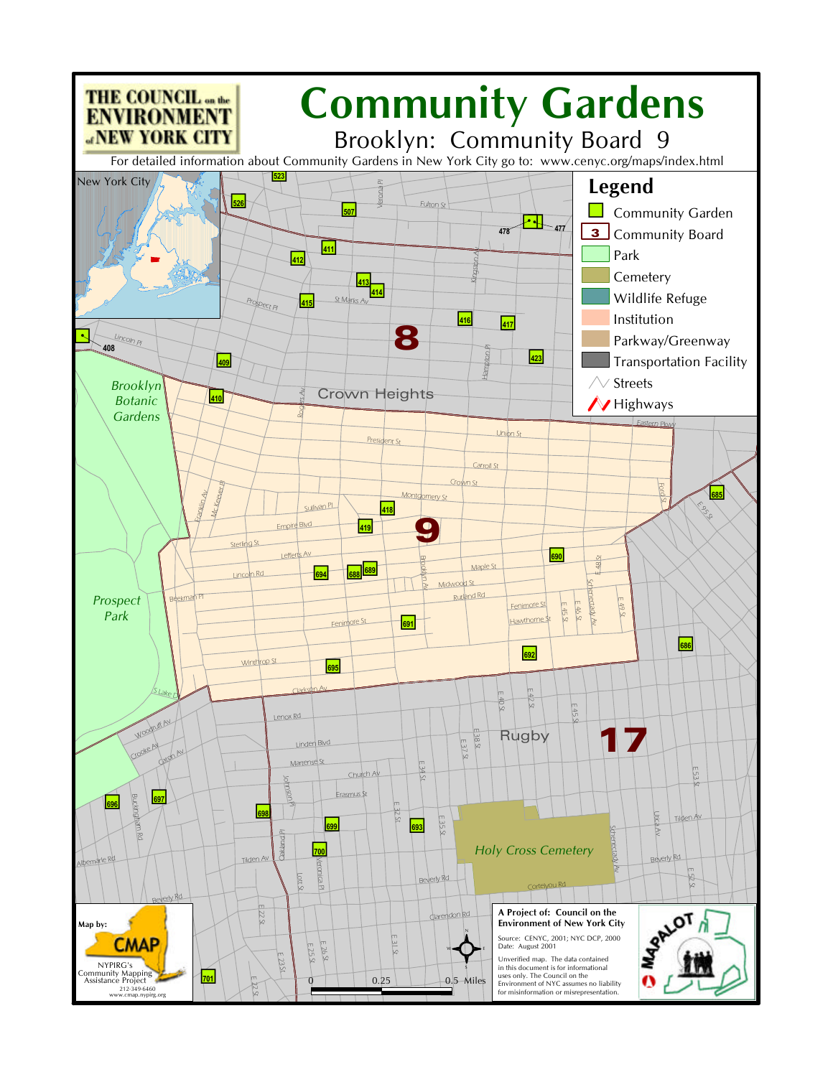